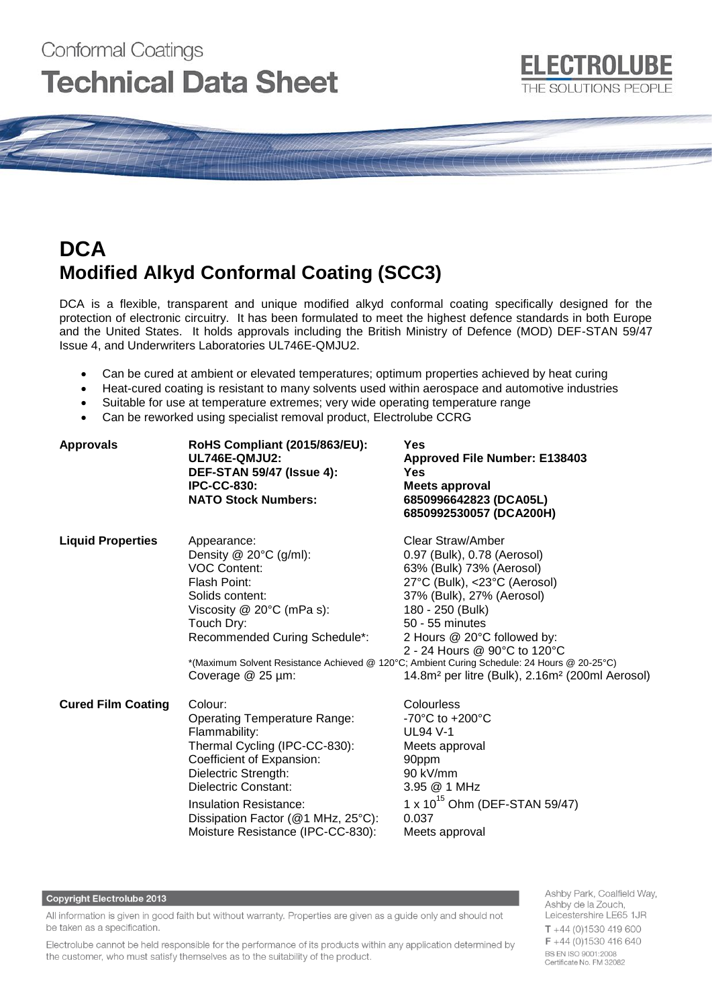# Conformal Coatings **Technical Data Sheet**

# **ELECTROLUBE** THE SOLUTIONS PEOPLE

# **DCA Modified Alkyd Conformal Coating (SCC3)**

DCA is a flexible, transparent and unique modified alkyd conformal coating specifically designed for the protection of electronic circuitry. It has been formulated to meet the highest defence standards in both Europe and the United States. It holds approvals including the British Ministry of Defence (MOD) DEF-STAN 59/47 Issue 4, and Underwriters Laboratories UL746E-QMJU2.

- Can be cured at ambient or elevated temperatures; optimum properties achieved by heat curing
- Heat-cured coating is resistant to many solvents used within aerospace and automotive industries
- Suitable for use at temperature extremes; very wide operating temperature range
- Can be reworked using specialist removal product, Electrolube CCRG

| <b>Approvals</b>          | RoHS Compliant (2015/863/EU):<br>UL746E-QMJU2:<br><b>DEF-STAN 59/47 (Issue 4):</b><br><b>IPC-CC-830:</b><br><b>NATO Stock Numbers:</b>                                                                                                                                                    | Yes<br><b>Approved File Number: E138403</b><br><b>Yes</b><br>Meets approval<br>6850996642823 (DCA05L)<br>6850992530057 (DCA200H)                                                                                                                                                                                                                                                                                          |
|---------------------------|-------------------------------------------------------------------------------------------------------------------------------------------------------------------------------------------------------------------------------------------------------------------------------------------|---------------------------------------------------------------------------------------------------------------------------------------------------------------------------------------------------------------------------------------------------------------------------------------------------------------------------------------------------------------------------------------------------------------------------|
| <b>Liquid Properties</b>  | Appearance:<br>Density $@$ 20 $°C$ (g/ml):<br><b>VOC Content:</b><br>Flash Point:<br>Solids content:<br>Viscosity $@$ 20 $°C$ (mPa s):<br>Touch Dry:<br>Recommended Curing Schedule*:<br>Coverage @ 25 µm:                                                                                | Clear Straw/Amber<br>0.97 (Bulk), 0.78 (Aerosol)<br>63% (Bulk) 73% (Aerosol)<br>27°C (Bulk), <23°C (Aerosol)<br>37% (Bulk), 27% (Aerosol)<br>180 - 250 (Bulk)<br>50 - 55 minutes<br>2 Hours @ 20°C followed by:<br>2 - 24 Hours @ 90°C to 120°C<br>*(Maximum Solvent Resistance Achieved @ 120°C; Ambient Curing Schedule: 24 Hours @ 20-25°C)<br>14.8m <sup>2</sup> per litre (Bulk), 2.16m <sup>2</sup> (200ml Aerosol) |
| <b>Cured Film Coating</b> | Colour:<br><b>Operating Temperature Range:</b><br>Flammability:<br>Thermal Cycling (IPC-CC-830):<br>Coefficient of Expansion:<br>Dielectric Strength:<br>Dielectric Constant:<br><b>Insulation Resistance:</b><br>Dissipation Factor (@1 MHz, 25°C):<br>Moisture Resistance (IPC-CC-830): | Colourless<br>-70 $^{\circ}$ C to +200 $^{\circ}$ C<br><b>UL94 V-1</b><br>Meets approval<br>90ppm<br>90 kV/mm<br>3.95 @ 1 MHz<br>1 x $10^{15}$ Ohm (DEF-STAN 59/47)<br>0.037<br>Meets approval                                                                                                                                                                                                                            |

#### **Copyright Electrolube 2013**

All information is given in good faith but without warranty. Properties are given as a guide only and should not be taken as a specification.

Electrolube cannot be held responsible for the performance of its products within any application determined by the customer, who must satisfy themselves as to the suitability of the product.

Ashby Park, Coalfield Way, Ashby de la Zouch, Leicestershire LE65 1JR  $T + 44$  (0)1530 419 600  $F + 44(0)1530416640$ BS EN ISO 9001:2008 Certificate No. FM 32082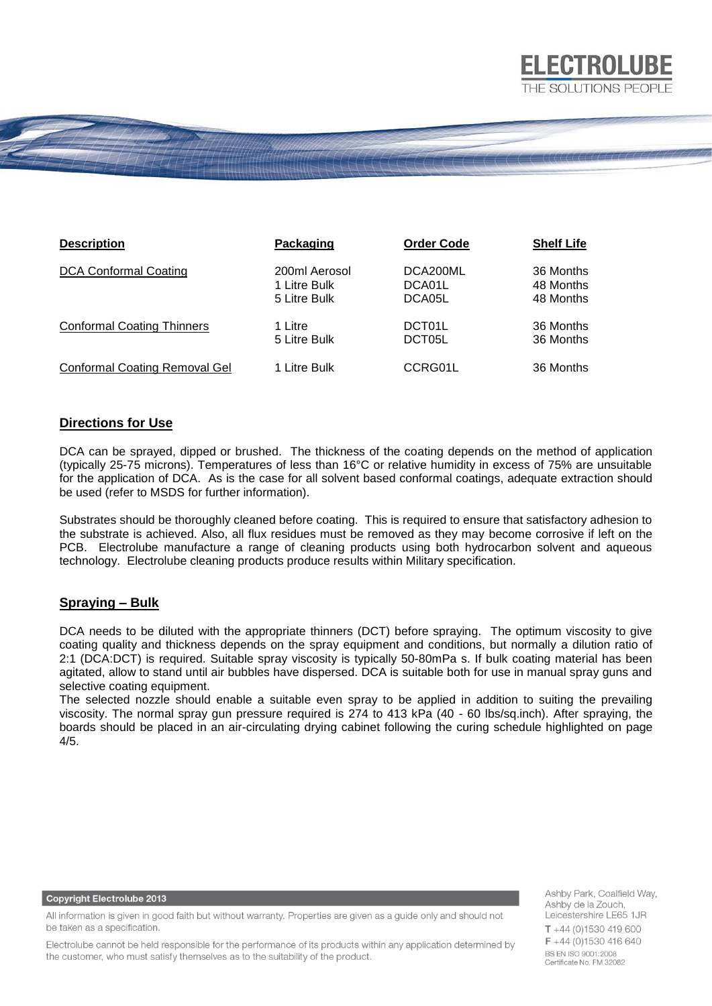

| <b>Description</b>                | Packaging     | <b>Order Code</b> | <b>Shelf Life</b> |
|-----------------------------------|---------------|-------------------|-------------------|
| <b>DCA Conformal Coating</b>      | 200ml Aerosol | DCA200ML          | 36 Months         |
|                                   | 1 Litre Bulk  | DCA01L            | 48 Months         |
|                                   | 5 Litre Bulk  | DCA05L            | 48 Months         |
| <b>Conformal Coating Thinners</b> | 1 Litre       | DCT01L            | 36 Months         |
|                                   | 5 Litre Bulk  | DCT05L            | 36 Months         |
| Conformal Coating Removal Gel     | 1 Litre Bulk  | CCRG01L           | 36 Months         |

# **Directions for Use**

DCA can be sprayed, dipped or brushed. The thickness of the coating depends on the method of application (typically 25-75 microns). Temperatures of less than 16°C or relative humidity in excess of 75% are unsuitable for the application of DCA. As is the case for all solvent based conformal coatings, adequate extraction should be used (refer to MSDS for further information).

Substrates should be thoroughly cleaned before coating. This is required to ensure that satisfactory adhesion to the substrate is achieved. Also, all flux residues must be removed as they may become corrosive if left on the PCB. Electrolube manufacture a range of cleaning products using both hydrocarbon solvent and aqueous technology. Electrolube cleaning products produce results within Military specification.

### **Spraying – Bulk**

DCA needs to be diluted with the appropriate thinners (DCT) before spraying. The optimum viscosity to give coating quality and thickness depends on the spray equipment and conditions, but normally a dilution ratio of 2:1 (DCA:DCT) is required. Suitable spray viscosity is typically 50-80mPa s. If bulk coating material has been agitated, allow to stand until air bubbles have dispersed. DCA is suitable both for use in manual spray guns and selective coating equipment.

The selected nozzle should enable a suitable even spray to be applied in addition to suiting the prevailing viscosity. The normal spray gun pressure required is 274 to 413 kPa (40 - 60 lbs/sq.inch). After spraying, the boards should be placed in an air-circulating drying cabinet following the curing schedule highlighted on page 4/5.

#### **Copyright Electrolube 2013**

Ashby Park, Coalfield Way, Ashby de la Zouch, Leicestershire LE65 1JR  $T + 44$  (0)1530 419 600 F +44 (0)1530 416 640 BS EN ISO 9001:2008 Certificate No. FM 32082

**ELECTROLUBE** 

All information is given in good faith but without warranty. Properties are given as a guide only and should not be taken as a specification.

Electrolube cannot be held responsible for the performance of its products within any application determined by the customer, who must satisfy themselves as to the suitability of the product.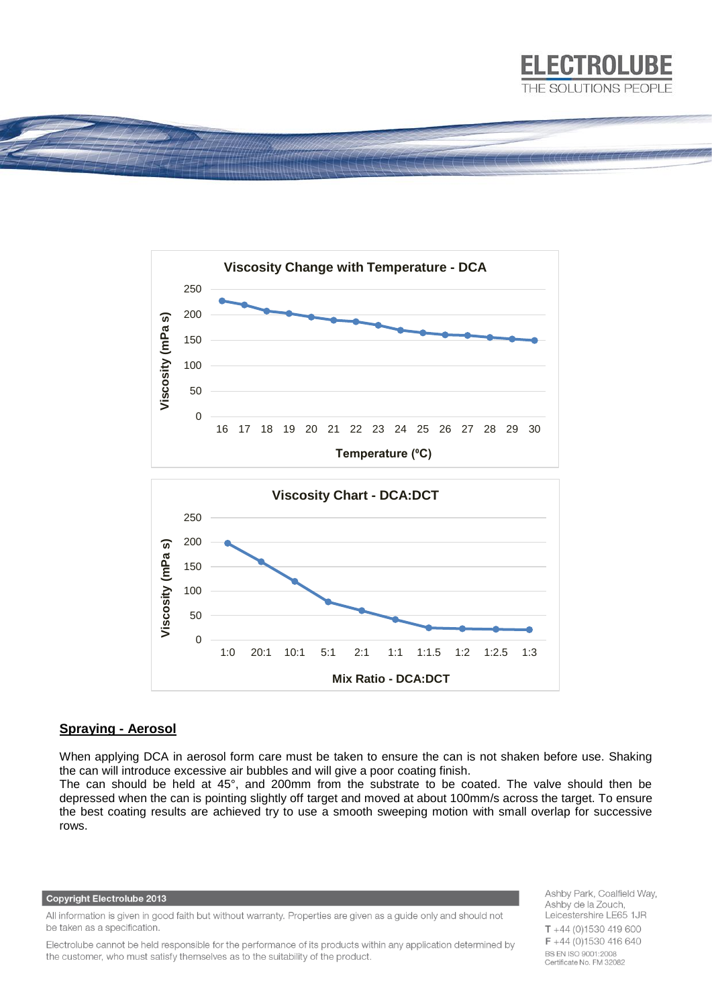



### **Spraying - Aerosol**

When applying DCA in aerosol form care must be taken to ensure the can is not shaken before use. Shaking the can will introduce excessive air bubbles and will give a poor coating finish.

The can should be held at 45°, and 200mm from the substrate to be coated. The valve should then be depressed when the can is pointing slightly off target and moved at about 100mm/s across the target. To ensure the best coating results are achieved try to use a smooth sweeping motion with small overlap for successive rows.

#### **Copyright Electrolube 2013**

All information is given in good faith but without warranty. Properties are given as a guide only and should not be taken as a specification.

Electrolube cannot be held responsible for the performance of its products within any application determined by the customer, who must satisfy themselves as to the suitability of the product.

Ashby Park, Coalfield Way, Ashby de la Zouch, Leicestershire LE65 1JR  $T + 44(0)1530419600$ F +44 (0)1530 416 640 **BS EN ISO 9001:2008** Certificate No. FM 32082

**ELECTROLUBE**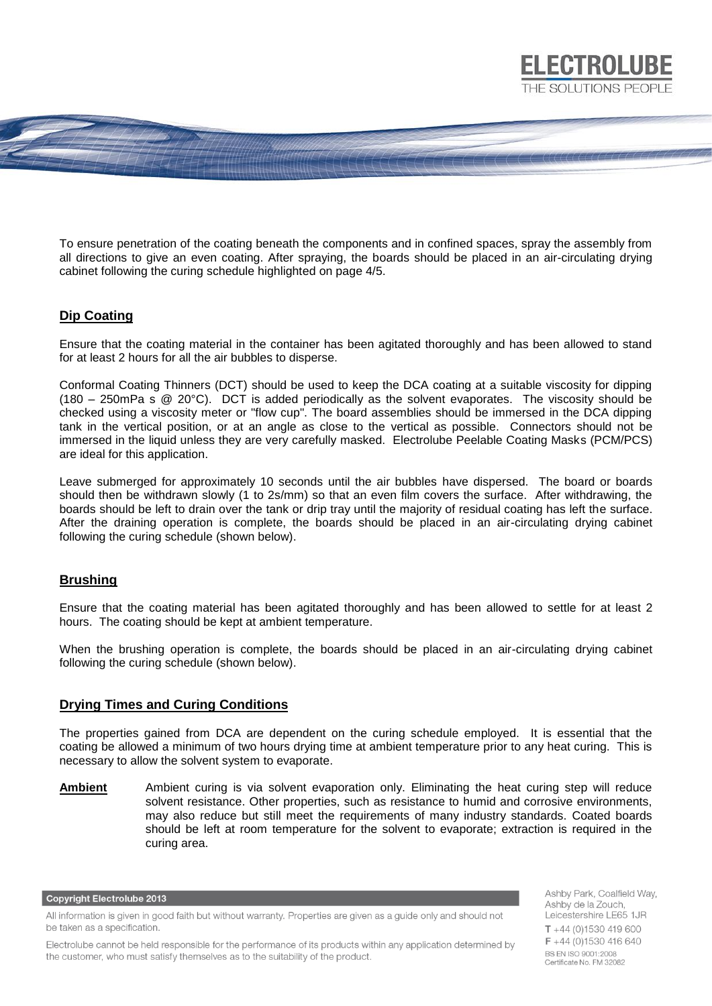

To ensure penetration of the coating beneath the components and in confined spaces, spray the assembly from all directions to give an even coating. After spraying, the boards should be placed in an air-circulating drying cabinet following the curing schedule highlighted on page 4/5.

# **Dip Coating**

Ensure that the coating material in the container has been agitated thoroughly and has been allowed to stand for at least 2 hours for all the air bubbles to disperse.

Conformal Coating Thinners (DCT) should be used to keep the DCA coating at a suitable viscosity for dipping (180 – 250mPa s @ 20°C). DCT is added periodically as the solvent evaporates. The viscosity should be checked using a viscosity meter or "flow cup". The board assemblies should be immersed in the DCA dipping tank in the vertical position, or at an angle as close to the vertical as possible. Connectors should not be immersed in the liquid unless they are very carefully masked. Electrolube Peelable Coating Masks (PCM/PCS) are ideal for this application.

Leave submerged for approximately 10 seconds until the air bubbles have dispersed. The board or boards should then be withdrawn slowly (1 to 2s/mm) so that an even film covers the surface. After withdrawing, the boards should be left to drain over the tank or drip tray until the majority of residual coating has left the surface. After the draining operation is complete, the boards should be placed in an air-circulating drying cabinet following the curing schedule (shown below).

### **Brushing**

Ensure that the coating material has been agitated thoroughly and has been allowed to settle for at least 2 hours. The coating should be kept at ambient temperature.

When the brushing operation is complete, the boards should be placed in an air-circulating drying cabinet following the curing schedule (shown below).

### **Drying Times and Curing Conditions**

The properties gained from DCA are dependent on the curing schedule employed. It is essential that the coating be allowed a minimum of two hours drying time at ambient temperature prior to any heat curing. This is necessary to allow the solvent system to evaporate.

**Ambient** Ambient curing is via solvent evaporation only. Eliminating the heat curing step will reduce solvent resistance. Other properties, such as resistance to humid and corrosive environments, may also reduce but still meet the requirements of many industry standards. Coated boards should be left at room temperature for the solvent to evaporate; extraction is required in the curing area.

#### **Copyright Electrolube 2013**

All information is given in good faith but without warranty. Properties are given as a guide only and should not be taken as a specification.

Electrolube cannot be held responsible for the performance of its products within any application determined by the customer, who must satisfy themselves as to the suitability of the product.

Ashby Park, Coalfield Way, Ashby de la Zouch, Leicestershire LE65 1JR  $T + 44$  (0)1530 419 600  $F + 44(0)1530416640$ BS EN ISO 9001:2008 Certificate No. FM 32082

**ELECTROLUBE**